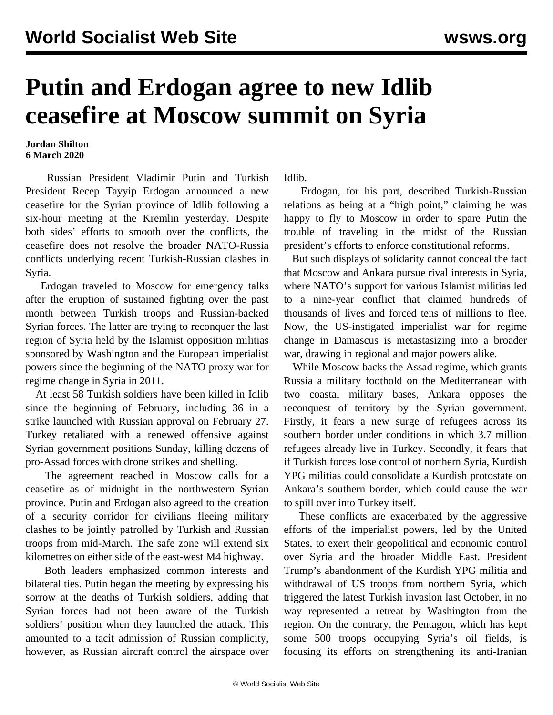## **Putin and Erdogan agree to new Idlib ceasefire at Moscow summit on Syria**

## **Jordan Shilton 6 March 2020**

 Russian President Vladimir Putin and Turkish President Recep Tayyip Erdogan announced a new ceasefire for the Syrian province of Idlib following a six-hour meeting at the Kremlin yesterday. Despite both sides' efforts to smooth over the conflicts, the ceasefire does not resolve the broader NATO-Russia conflicts underlying recent Turkish-Russian clashes in Syria.

 Erdogan traveled to Moscow for emergency talks after the eruption of sustained fighting over the past month between Turkish troops and Russian-backed Syrian forces. The latter are trying to reconquer the last region of Syria held by the Islamist opposition militias sponsored by Washington and the European imperialist powers since the beginning of the NATO proxy war for regime change in Syria in 2011.

 At least 58 Turkish soldiers have been killed in Idlib since the beginning of February, including 36 in a strike launched with Russian approval on February 27. Turkey retaliated with a renewed offensive against Syrian government positions Sunday, killing dozens of pro-Assad forces with drone strikes and shelling.

 The agreement reached in Moscow calls for a ceasefire as of midnight in the northwestern Syrian province. Putin and Erdogan also agreed to the creation of a security corridor for civilians fleeing military clashes to be jointly patrolled by Turkish and Russian troops from mid-March. The safe zone will extend six kilometres on either side of the east-west M4 highway.

 Both leaders emphasized common interests and bilateral ties. Putin began the meeting by expressing his sorrow at the deaths of Turkish soldiers, adding that Syrian forces had not been aware of the Turkish soldiers' position when they launched the attack. This amounted to a tacit admission of Russian complicity, however, as Russian aircraft control the airspace over Idlib.

 Erdogan, for his part, described Turkish-Russian relations as being at a "high point," claiming he was happy to fly to Moscow in order to spare Putin the trouble of traveling in the midst of the Russian president's efforts to enforce constitutional reforms.

 But such displays of solidarity cannot conceal the fact that Moscow and Ankara pursue rival interests in Syria, where NATO's support for various Islamist militias led to a nine-year conflict that claimed hundreds of thousands of lives and forced tens of millions to flee. Now, the US-instigated imperialist war for regime change in Damascus is metastasizing into a broader war, drawing in regional and major powers alike.

 While Moscow backs the Assad regime, which grants Russia a military foothold on the Mediterranean with two coastal military bases, Ankara opposes the reconquest of territory by the Syrian government. Firstly, it fears a new surge of refugees across its southern border under conditions in which 3.7 million refugees already live in Turkey. Secondly, it fears that if Turkish forces lose control of northern Syria, Kurdish YPG militias could consolidate a Kurdish protostate on Ankara's southern border, which could cause the war to spill over into Turkey itself.

 These conflicts are exacerbated by the aggressive efforts of the imperialist powers, led by the United States, to exert their geopolitical and economic control over Syria and the broader Middle East. President Trump's abandonment of the Kurdish YPG militia and withdrawal of US troops from northern Syria, which triggered the latest Turkish invasion last October, in no way represented a retreat by Washington from the region. On the contrary, the Pentagon, which has kept some 500 troops occupying Syria's oil fields, is focusing its efforts on strengthening its anti-Iranian